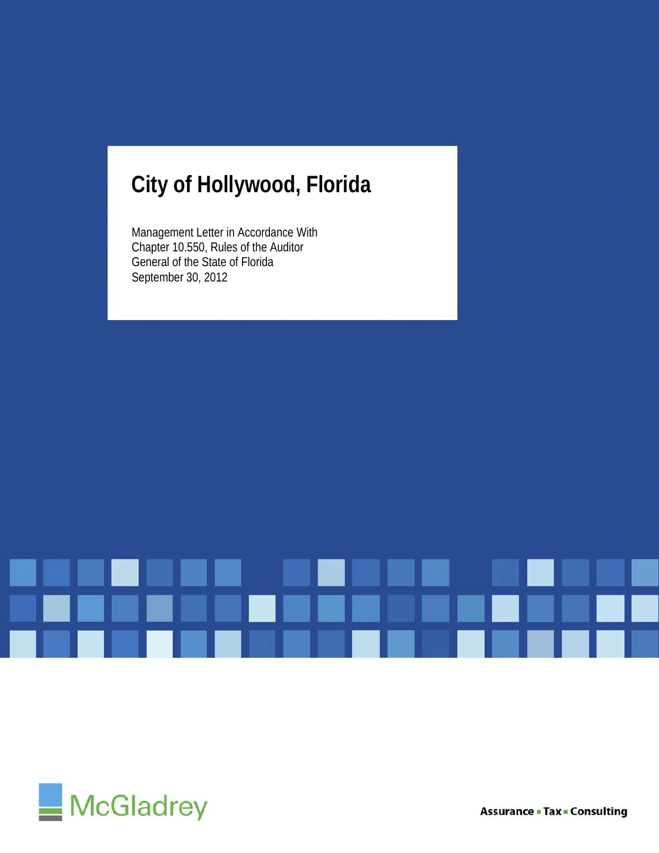## **City of Hollywood, Florida**

Management Letter in Accordance With Chapter 10.550, Rules of the Auditor General of the State of Florida September 30, 2012





**Assurance - Tax - Consulting**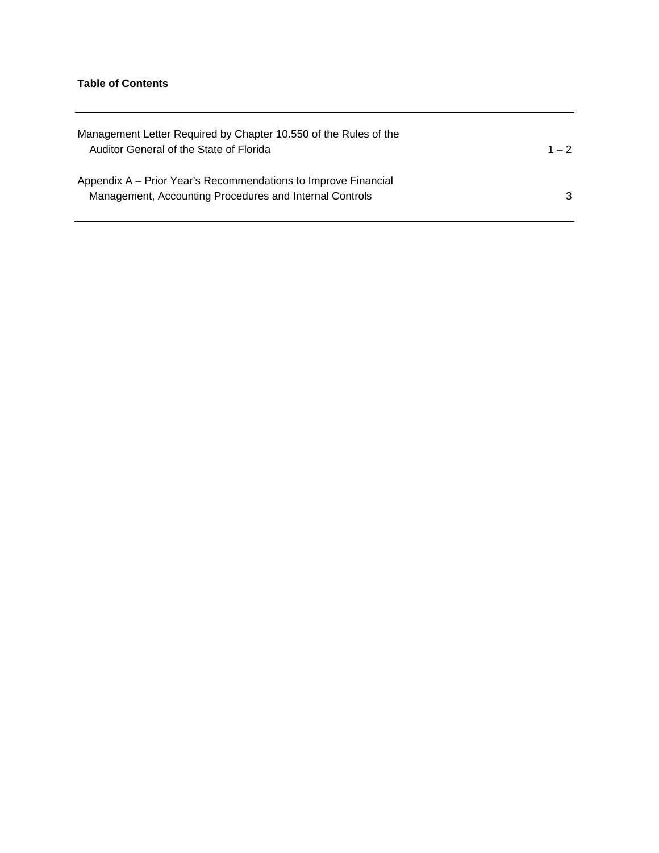## **Table of Contents**

| Management Letter Required by Chapter 10.550 of the Rules of the<br>Auditor General of the State of Florida               | $1 - 2$ |
|---------------------------------------------------------------------------------------------------------------------------|---------|
| Appendix A – Prior Year's Recommendations to Improve Financial<br>Management, Accounting Procedures and Internal Controls | 3       |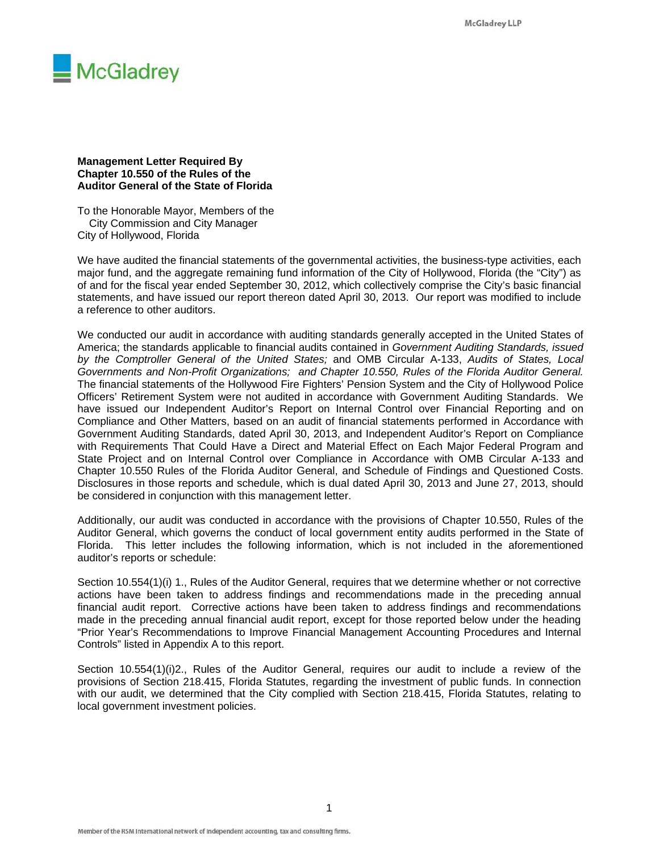

**Management Letter Required By Chapter 10.550 of the Rules of the Auditor General of the State of Florida** 

To the Honorable Mayor, Members of the City Commission and City Manager City of Hollywood, Florida

We have audited the financial statements of the governmental activities, the business-type activities, each major fund, and the aggregate remaining fund information of the City of Hollywood, Florida (the "City") as of and for the fiscal year ended September 30, 2012, which collectively comprise the City's basic financial statements, and have issued our report thereon dated April 30, 2013. Our report was modified to include a reference to other auditors.

We conducted our audit in accordance with auditing standards generally accepted in the United States of America; the standards applicable to financial audits contained in *Government Auditing Standards, issued by the Comptroller General of the United States;* and OMB Circular A-133, *Audits of States, Local Governments and Non-Profit Organizations; and Chapter 10.550, Rules of the Florida Auditor General.*  The financial statements of the Hollywood Fire Fighters' Pension System and the City of Hollywood Police Officers' Retirement System were not audited in accordance with Government Auditing Standards. We have issued our Independent Auditor's Report on Internal Control over Financial Reporting and on Compliance and Other Matters, based on an audit of financial statements performed in Accordance with Government Auditing Standards, dated April 30, 2013, and Independent Auditor's Report on Compliance with Requirements That Could Have a Direct and Material Effect on Each Major Federal Program and State Project and on Internal Control over Compliance in Accordance with OMB Circular A-133 and Chapter 10.550 Rules of the Florida Auditor General, and Schedule of Findings and Questioned Costs. Disclosures in those reports and schedule, which is dual dated April 30, 2013 and June 27, 2013, should be considered in conjunction with this management letter.

Additionally, our audit was conducted in accordance with the provisions of Chapter 10.550, Rules of the Auditor General, which governs the conduct of local government entity audits performed in the State of Florida. This letter includes the following information, which is not included in the aforementioned auditor's reports or schedule:

Section 10.554(1)(i) 1., Rules of the Auditor General, requires that we determine whether or not corrective actions have been taken to address findings and recommendations made in the preceding annual financial audit report. Corrective actions have been taken to address findings and recommendations made in the preceding annual financial audit report, except for those reported below under the heading "Prior Year's Recommendations to Improve Financial Management Accounting Procedures and Internal Controls" listed in Appendix A to this report.

Section 10.554(1)(i)2., Rules of the Auditor General, requires our audit to include a review of the provisions of Section 218.415, Florida Statutes, regarding the investment of public funds. In connection with our audit, we determined that the City complied with Section 218.415, Florida Statutes, relating to local government investment policies.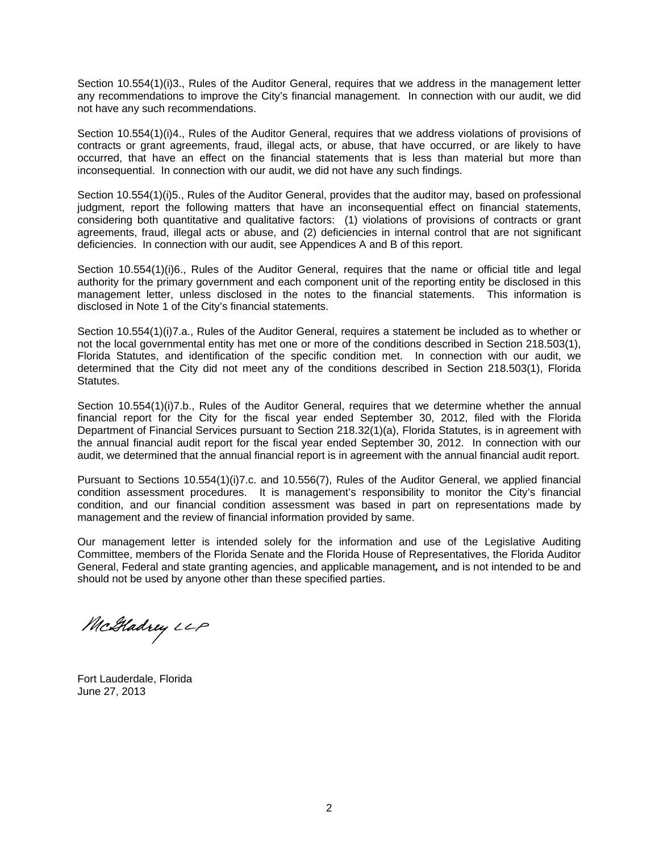Section 10.554(1)(i)3., Rules of the Auditor General, requires that we address in the management letter any recommendations to improve the City's financial management. In connection with our audit, we did not have any such recommendations.

Section 10.554(1)(i)4., Rules of the Auditor General, requires that we address violations of provisions of contracts or grant agreements, fraud, illegal acts, or abuse, that have occurred, or are likely to have occurred, that have an effect on the financial statements that is less than material but more than inconsequential. In connection with our audit, we did not have any such findings.

Section 10.554(1)(i)5., Rules of the Auditor General, provides that the auditor may, based on professional judgment, report the following matters that have an inconsequential effect on financial statements, considering both quantitative and qualitative factors: (1) violations of provisions of contracts or grant agreements, fraud, illegal acts or abuse, and (2) deficiencies in internal control that are not significant deficiencies. In connection with our audit, see Appendices A and B of this report.

Section 10.554(1)(i)6., Rules of the Auditor General, requires that the name or official title and legal authority for the primary government and each component unit of the reporting entity be disclosed in this management letter, unless disclosed in the notes to the financial statements. This information is disclosed in Note 1 of the City's financial statements.

Section 10.554(1)(i)7.a., Rules of the Auditor General, requires a statement be included as to whether or not the local governmental entity has met one or more of the conditions described in Section 218.503(1), Florida Statutes, and identification of the specific condition met. In connection with our audit, we determined that the City did not meet any of the conditions described in Section 218.503(1), Florida Statutes.

Section 10.554(1)(i)7.b., Rules of the Auditor General, requires that we determine whether the annual financial report for the City for the fiscal year ended September 30, 2012, filed with the Florida Department of Financial Services pursuant to Section 218.32(1)(a), Florida Statutes, is in agreement with the annual financial audit report for the fiscal year ended September 30, 2012. In connection with our audit, we determined that the annual financial report is in agreement with the annual financial audit report.

Pursuant to Sections 10.554(1)(i)7.c. and 10.556(7), Rules of the Auditor General, we applied financial condition assessment procedures. It is management's responsibility to monitor the City's financial condition, and our financial condition assessment was based in part on representations made by management and the review of financial information provided by same.

Our management letter is intended solely for the information and use of the Legislative Auditing Committee, members of the Florida Senate and the Florida House of Representatives, the Florida Auditor General, Federal and state granting agencies, and applicable management*,* and is not intended to be and should not be used by anyone other than these specified parties.

McHadrey LLP

Fort Lauderdale, Florida June 27, 2013